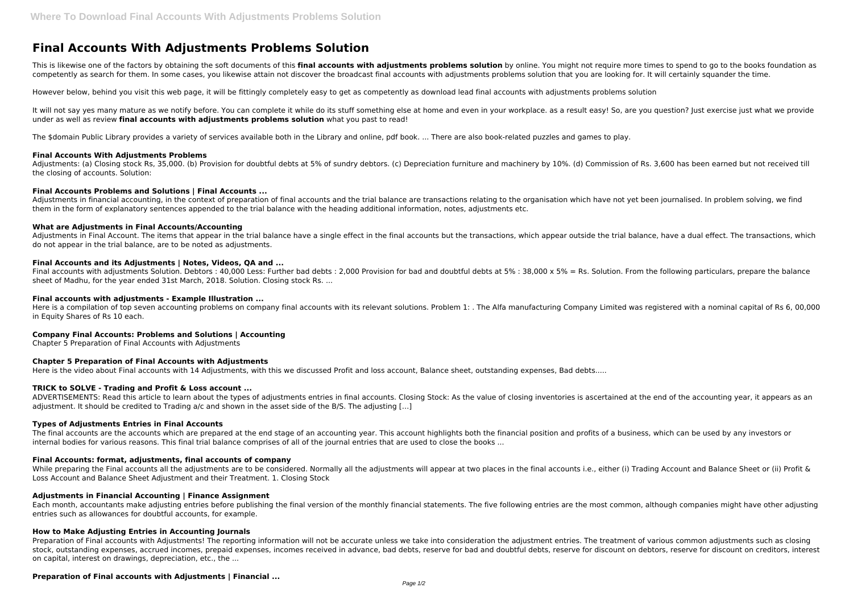# **Final Accounts With Adjustments Problems Solution**

This is likewise one of the factors by obtaining the soft documents of this **final accounts with adjustments problems solution** by online. You might not require more times to spend to go to the books foundation as competently as search for them. In some cases, you likewise attain not discover the broadcast final accounts with adjustments problems solution that you are looking for. It will certainly squander the time.

It will not say yes many mature as we notify before. You can complete it while do its stuff something else at home and even in your workplace. as a result easy! So, are you question? Just exercise just what we provide under as well as review **final accounts with adjustments problems solution** what you past to read!

However below, behind you visit this web page, it will be fittingly completely easy to get as competently as download lead final accounts with adjustments problems solution

Adjustments: (a) Closing stock Rs, 35,000. (b) Provision for doubtful debts at 5% of sundry debtors. (c) Depreciation furniture and machinery by 10%. (d) Commission of Rs. 3,600 has been earned but not received till the closing of accounts. Solution:

Adjustments in financial accounting, in the context of preparation of final accounts and the trial balance are transactions relating to the organisation which have not yet been journalised. In problem solving, we find them in the form of explanatory sentences appended to the trial balance with the heading additional information, notes, adjustments etc.

The \$domain Public Library provides a variety of services available both in the Library and online, pdf book. ... There are also book-related puzzles and games to play.

Adjustments in Final Account. The items that appear in the trial balance have a single effect in the final accounts but the transactions, which appear outside the trial balance, have a dual effect. The transactions, which do not appear in the trial balance, are to be noted as adjustments.

# **Final Accounts With Adjustments Problems**

Final accounts with adjustments Solution. Debtors : 40,000 Less: Further bad debts : 2,000 Provision for bad and doubtful debts at 5% : 38,000 x 5% = Rs. Solution. From the following particulars, prepare the balance sheet of Madhu, for the year ended 31st March, 2018. Solution. Closing stock Rs. ...

Here is a compilation of top seven accounting problems on company final accounts with its relevant solutions. Problem 1: . The Alfa manufacturing Company Limited was registered with a nominal capital of Rs 6, 00,000 in Equity Shares of Rs 10 each.

# **Final Accounts Problems and Solutions | Final Accounts ...**

ADVERTISEMENTS: Read this article to learn about the types of adjustments entries in final accounts. Closing Stock: As the value of closing inventories is ascertained at the end of the accounting year, it appears as an adjustment. It should be credited to Trading a/c and shown in the asset side of the B/S. The adjusting […]

# **What are Adjustments in Final Accounts/Accounting**

While preparing the Final accounts all the adjustments are to be considered. Normally all the adjustments will appear at two places in the final accounts i.e., either (i) Trading Account and Balance Sheet or (ii) Profit & Loss Account and Balance Sheet Adjustment and their Treatment. 1. Closing Stock

# **Final Accounts and its Adjustments | Notes, Videos, QA and ...**

# **Final accounts with adjustments - Example Illustration ...**

# **Company Final Accounts: Problems and Solutions | Accounting**

Chapter 5 Preparation of Final Accounts with Adjustments

# **Chapter 5 Preparation of Final Accounts with Adjustments**

Here is the video about Final accounts with 14 Adjustments, with this we discussed Profit and loss account, Balance sheet, outstanding expenses, Bad debts.....

# **TRICK to SOLVE - Trading and Profit & Loss account ...**

#### **Types of Adjustments Entries in Final Accounts**

The final accounts are the accounts which are prepared at the end stage of an accounting year. This account highlights both the financial position and profits of a business, which can be used by any investors or internal bodies for various reasons. This final trial balance comprises of all of the journal entries that are used to close the books ...

#### **Final Accounts: format, adjustments, final accounts of company**

#### **Adjustments in Financial Accounting | Finance Assignment**

Each month, accountants make adjusting entries before publishing the final version of the monthly financial statements. The five following entries are the most common, although companies might have other adjusting entries such as allowances for doubtful accounts, for example.

# **How to Make Adjusting Entries in Accounting Journals**

Preparation of Final accounts with Adjustments! The reporting information will not be accurate unless we take into consideration the adjustment entries. The treatment of various common adjustments such as closing stock, outstanding expenses, accrued incomes, prepaid expenses, incomes received in advance, bad debts, reserve for bad and doubtful debts, reserve for discount on debtors, reserve for discount on creditors, interest on capital, interest on drawings, depreciation, etc., the ...

## **Preparation of Final accounts with Adjustments | Financial ...**